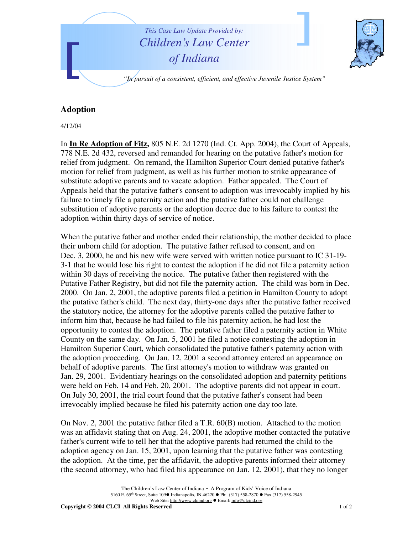

## **Adoption**

4/12/04

In **In Re Adoption of Fitz,** 805 N.E. 2d 1270 (Ind. Ct. App. 2004), the Court of Appeals, 778 N.E. 2d 432, reversed and remanded for hearing on the putative father's motion for relief from judgment. On remand, the Hamilton Superior Court denied putative father's motion for relief from judgment, as well as his further motion to strike appearance of substitute adoptive parents and to vacate adoption. Father appealed. The Court of Appeals held that the putative father's consent to adoption was irrevocably implied by his failure to timely file a paternity action and the putative father could not challenge substitution of adoptive parents or the adoption decree due to his failure to contest the adoption within thirty days of service of notice.

When the putative father and mother ended their relationship, the mother decided to place their unborn child for adoption. The putative father refused to consent, and on Dec. 3, 2000, he and his new wife were served with written notice pursuant to IC 31-19- 3-1 that he would lose his right to contest the adoption if he did not file a paternity action within 30 days of receiving the notice. The putative father then registered with the Putative Father Registry, but did not file the paternity action. The child was born in Dec. 2000. On Jan. 2, 2001, the adoptive parents filed a petition in Hamilton County to adopt the putative father's child. The next day, thirty-one days after the putative father received the statutory notice, the attorney for the adoptive parents called the putative father to inform him that, because he had failed to file his paternity action, he had lost the opportunity to contest the adoption. The putative father filed a paternity action in White County on the same day. On Jan. 5, 2001 he filed a notice contesting the adoption in Hamilton Superior Court, which consolidated the putative father's paternity action with the adoption proceeding. On Jan. 12, 2001 a second attorney entered an appearance on behalf of adoptive parents. The first attorney's motion to withdraw was granted on Jan. 29, 2001. Evidentiary hearings on the consolidated adoption and paternity petitions were held on Feb. 14 and Feb. 20, 2001. The adoptive parents did not appear in court. On July 30, 2001, the trial court found that the putative father's consent had been irrevocably implied because he filed his paternity action one day too late.

On Nov. 2, 2001 the putative father filed a T.R. 60(B) motion. Attached to the motion was an affidavit stating that on Aug. 24, 2001, the adoptive mother contacted the putative father's current wife to tell her that the adoptive parents had returned the child to the adoption agency on Jan. 15, 2001, upon learning that the putative father was contesting the adoption. At the time, per the affidavit, the adoptive parents informed their attorney (the second attorney, who had filed his appearance on Jan. 12, 2001), that they no longer